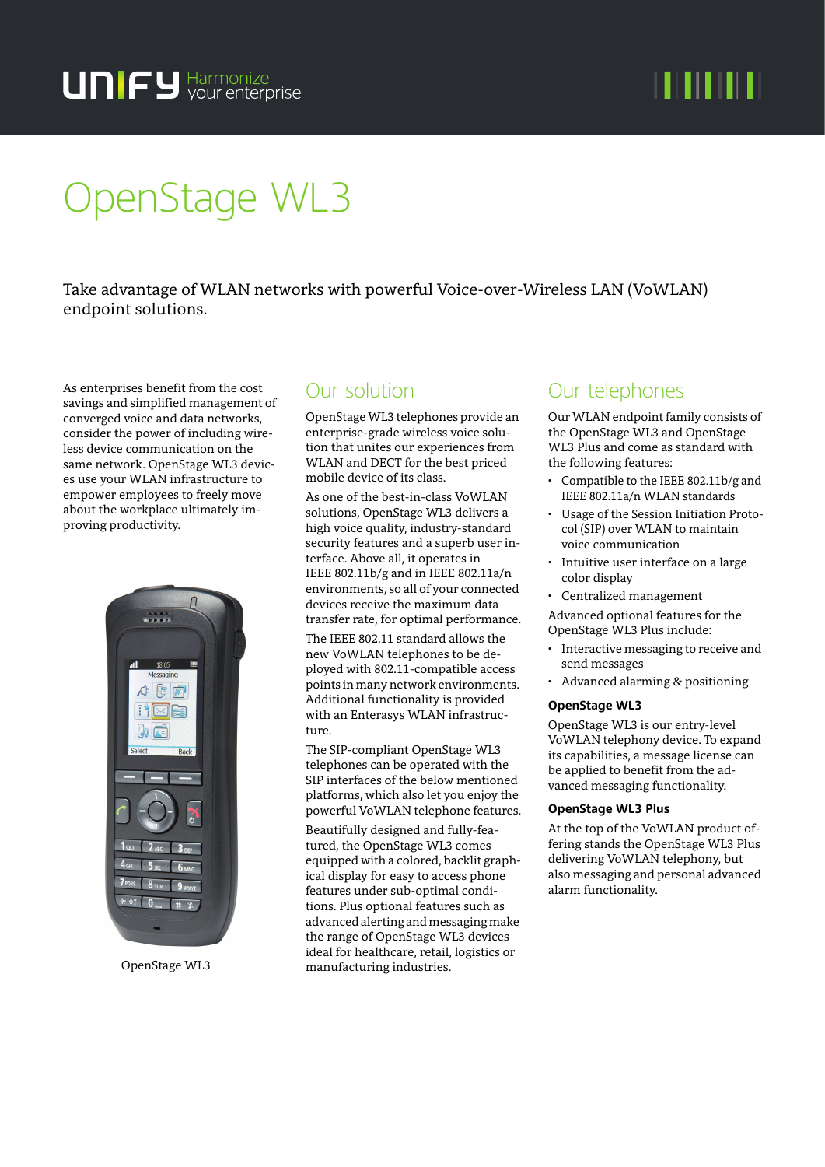# 11 M M

# OpenStage WL3

Take advantage of WLAN networks with powerful Voice-over-Wireless LAN (VoWLAN) endpoint solutions.

As enterprises benefit from the cost savings and simplified management of converged voice and data networks, consider the power of including wireless device communication on the same network. OpenStage WL3 devices use your WLAN infrastructure to empower employees to freely move about the workplace ultimately improving productivity.



OpenStage WL3

### Our solution

OpenStage WL3 telephones provide an enterprise-grade wireless voice solution that unites our experiences from WLAN and DECT for the best priced mobile device of its class.

As one of the best-in-class VoWLAN solutions, OpenStage WL3 delivers a high voice quality, industry-standard security features and a superb user interface. Above all, it operates in IEEE 802.11b/g and in IEEE 802.11a/n environments, so all of your connected devices receive the maximum data transfer rate, for optimal performance.

The IEEE 802.11 standard allows the new VoWLAN telephones to be deployed with 802.11-compatible access points in many network environments. Additional functionality is provided with an Enterasys WLAN infrastructure

The SIP-compliant OpenStage WL3 telephones can be operated with the SIP interfaces of the below mentioned platforms, which also let you enjoy the powerful VoWLAN telephone features.

Beautifully designed and fully-featured, the OpenStage WL3 comes equipped with a colored, backlit graphical display for easy to access phone features under sub-optimal conditions. Plus optional features such as advanced alerting and messaging make the range of OpenStage WL3 devices ideal for healthcare, retail, logistics or manufacturing industries.

### Our telephones

Our WLAN endpoint family consists of the OpenStage WL3 and OpenStage WL3 Plus and come as standard with the following features:

- Compatible to the IEEE 802.11b/g and IEEE 802.11a/n WLAN standards
- Usage of the Session Initiation Protocol (SIP) over WLAN to maintain voice communication
- Intuitive user interface on a large color display
- Centralized management

Advanced optional features for the OpenStage WL3 Plus include:

- Interactive messaging to receive and send messages
- Advanced alarming & positioning

**OpenStage WL3** OpenStage WL3 is our entry-level VoWLAN telephony device. To expand its capabilities, a message license can be applied to benefit from the advanced messaging functionality.

**OpenStage WL3 Plus** At the top of the VoWLAN product offering stands the OpenStage WL3 Plus delivering VoWLAN telephony, but also messaging and personal advanced alarm functionality.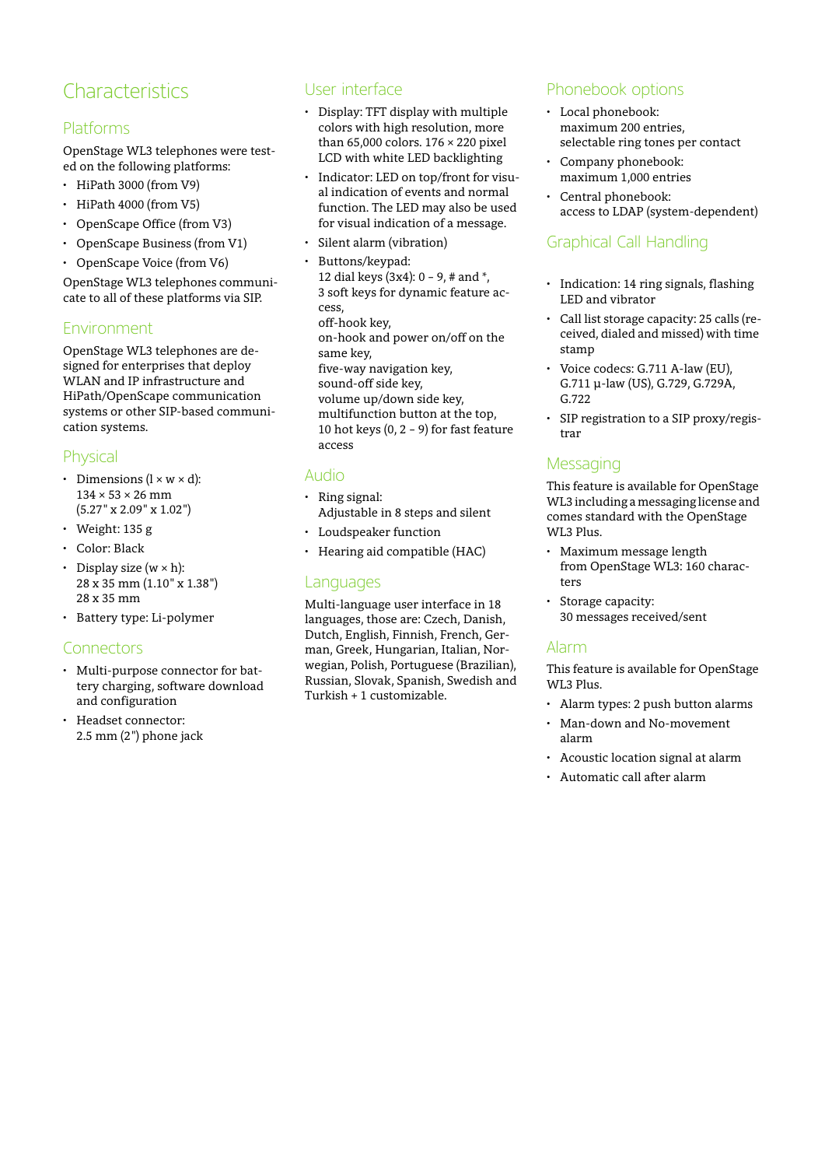## **Characteristics**

#### Platforms

OpenStage WL3 telephones were tested on the following platforms:

- HiPath 3000 (from V9)
- HiPath 4000 (from V5)
- OpenScape Office (from V3)
- OpenScape Business (from V1)
- OpenScape Voice (from V6)

OpenStage WL3 telephones communicate to all of these platforms via SIP.

#### Environment

OpenStage WL3 telephones are designed for enterprises that deploy WLAN and IP infrastructure and HiPath/OpenScape communication systems or other SIP-based communication systems.

#### **Physical**

- Dimensions  $(l \times w \times d)$ :  $134 \times 53 \times 26$  mm  $(5.27" \times 2.09" \times 1.02")$
- Weight: 135 g
- Color: Black
- Display size  $(w \times h)$ : 28 x 35 mm (1.10 " x 1.38 ") 28 x 35 mm
- Battery type: Li-polymer

#### Connectors

- Multi-purpose connector for battery charging, software download and configuration
- Headset connector: 2.5 mm (2 ") phone jack

### User interface

- Display: TFT display with multiple colors with high resolution, more than 65,000 colors.  $176 \times 220$  pixel LCD with white LED backlighting
- Indicator: LED on top/front for visual indication of events and normal function. The LED may also be used for visual indication of a message.
- Silent alarm (vibration)
- Buttons/keypad: 12 dial keys (3x4):  $0 - 9$ , # and  $*$ , 3 soft keys for dynamic feature access, off-hook key,

on-hook and power on/off on the same key, five-way navigation key, sound-off side key,

volume up/down side key, multifunction button at the top, 10 hot keys (0, 2 - 9) for fast feature access

#### Audio

- Ring signal:
- Adjustable in 8 steps and silent
- Loudspeaker function
- Hearing aid compatible (HAC)

#### **Languages**

Multi-language user interface in 18 languages, those are: Czech, Danish, Dutch, English, Finnish, French, German, Greek, Hungarian, Italian, Norwegian, Polish, Portuguese (Brazilian), Russian, Slovak, Spanish, Swedish and Turkish + 1 customizable.

### Phonebook options

- Local phonebook: maximum 200 entries, selectable ring tones per contact
- Company phonebook: maximum 1,000 entries
- Central phonebook: access to LDAP (system-dependent)

### Graphical Call Handling

- Indication: 14 ring signals, flashing LED and vibrator
- Call list storage capacity: 25 calls (received, dialed and missed) with time stamp
- Voice codecs: G.711 A-law (EU), G.711 µ-law (US), G.729, G.729A, G.722
- SIP registration to a SIP proxy/registrar

#### **Messaging**

This feature is available for OpenStage WL3 including a messaging license and comes standard with the OpenStage WL3 Plus.

- Maximum message length from OpenStage WL3: 160 characters
- Storage capacity: 30 messages received/sent

#### Alarm

This feature is available for OpenStage WL3 Plus.

- Alarm types: 2 push button alarms
- Man-down and No-movement alarm
- Acoustic location signal at alarm
- Automatic call after alarm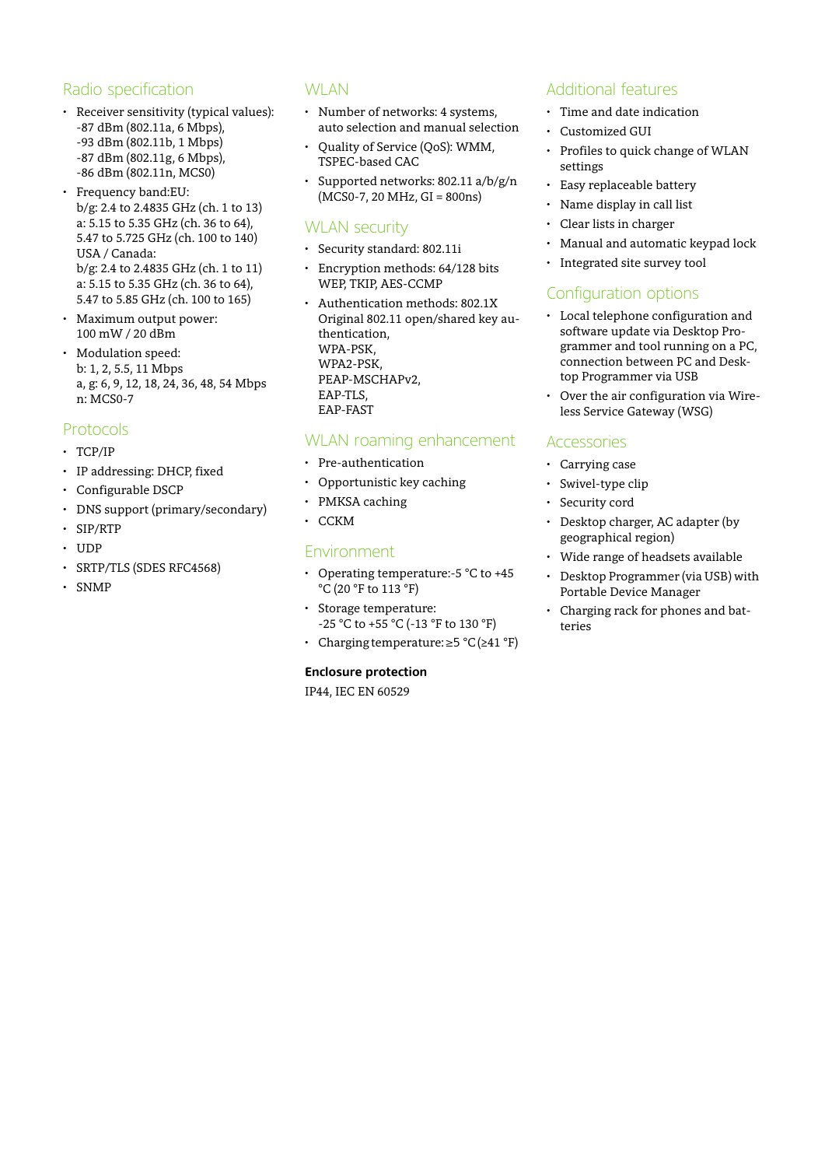#### Radio specification

- Receiver sensitivity (typical values): -87 dBm (802.11a, 6 Mbps), -93 dBm (802.11b, 1 Mbps) -87 dBm (802.11g, 6 Mbps), -86 dBm (802.11n, MCS0)
- Frequency band:EU: b/g: 2.4 to 2.4835 GHz (ch. 1 to 13) a: 5.15 to 5.35 GHz (ch. 36 to 64), 5.47 to 5.725 GHz (ch. 100 to 140) USA / Canada: b/g: 2.4 to 2.4835 GHz (ch. 1 to 11) a: 5.15 to 5.35 GHz (ch. 36 to 64), 5.47 to 5.85 GHz (ch. 100 to 165)
- Maximum output power: 100 mW / 20 dBm
- Modulation speed: b: 1, 2, 5.5, 11 Mbps a, g: 6, 9, 12, 18, 24, 36, 48, 54 Mbps n: MCS0-7

#### Protocols

- TCP/IP
- IP addressing: DHCP, fixed
- Configurable DSCP
- DNS support (primary/secondary)
- SIP/RTP
- UDP
- SRTP/TLS (SDES RFC4568)
- SNMP

#### **WI AN**

- Number of networks: 4 systems, auto selection and manual selection
- Quality of Service (QoS): WMM, TSPEC-based CAC
- Supported networks: 802.11 a/b/g/n  $(MCS0-7, 20 MHz, GI = 800ns)$

#### WLAN security

- Security standard: 802.11i
- Encryption methods: 64/128 bits WEP, TKIP, AES-CCMP
- Authentication methods: 802.1X Original 802.11 open/shared key authentication, WPA-PSK, WPA2-PSK, PEAP-MSCHAPv2, EAP-TLS, EAP-FAST

#### WLAN roaming enhancement

- Pre-authentication
- Opportunistic key caching
- PMKSA caching
- CCKM

#### **Environment**

- Operating temperature:-5 °C to +45 °C (20 °F to 113 °F)
- Storage temperature: -25 °C to +55 °C (-13 °F to 130 °F)
- Charging temperature: ≥5 °C (≥41 °F)

**Enclosure protection** IP44, IEC EN 60529

### Additional features

- Time and date indication
- Customized GUI
- Profiles to quick change of WLAN settings
- Easy replaceable battery
- Name display in call list
- Clear lists in charger
- Manual and automatic keypad lock
- Integrated site survey tool

#### Configuration options

- Local telephone configuration and software update via Desktop Programmer and tool running on a PC, connection between PC and Desktop Programmer via USB
- Over the air configuration via Wireless Service Gateway (WSG)

#### **Accessories**

- Carrying case
- Swivel-type clip
- Security cord
- Desktop charger, AC adapter (by geographical region)
- Wide range of headsets available
- Desktop Programmer (via USB) with Portable Device Manager
- Charging rack for phones and batteries